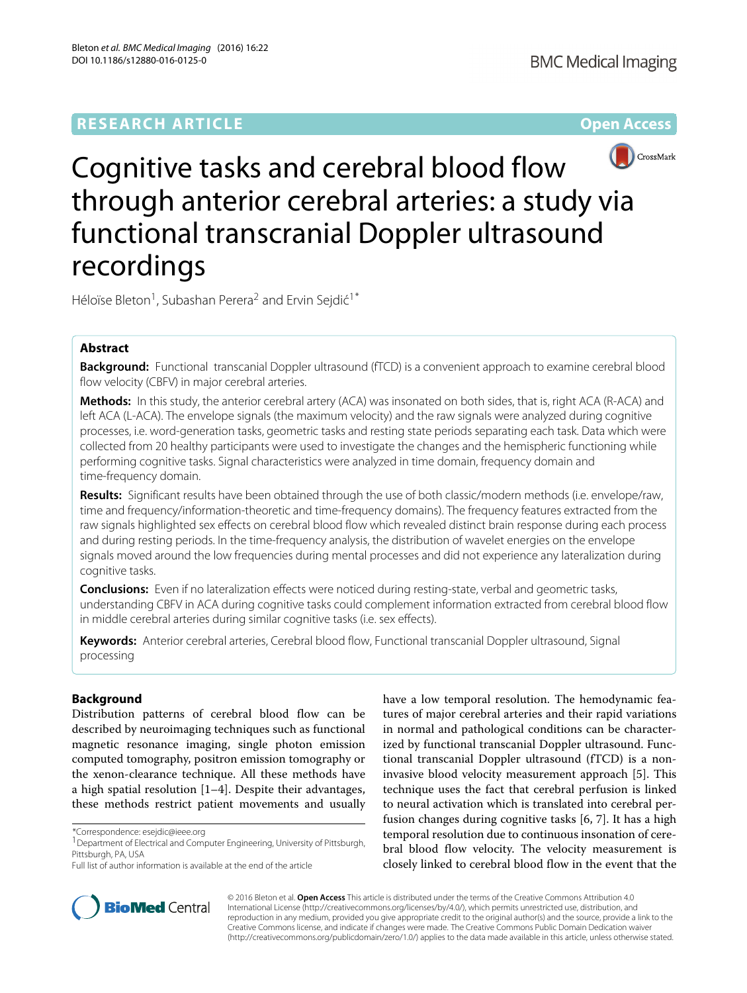# **RESEARCH ARTICLE Open Access**



# Cognitive tasks and cerebral blood flow through anterior cerebral arteries: a study via functional transcranial Doppler ultrasound recordings

Héloïse Bleton<sup>1</sup>, Subashan Perera<sup>2</sup> and Ervin Sejdić<sup>1\*</sup>

# **Abstract**

**Background:** Functional transcanial Doppler ultrasound (fTCD) is a convenient approach to examine cerebral blood flow velocity (CBFV) in major cerebral arteries.

**Methods:** In this study, the anterior cerebral artery (ACA) was insonated on both sides, that is, right ACA (R-ACA) and left ACA (L-ACA). The envelope signals (the maximum velocity) and the raw signals were analyzed during cognitive processes, i.e. word-generation tasks, geometric tasks and resting state periods separating each task. Data which were collected from 20 healthy participants were used to investigate the changes and the hemispheric functioning while performing cognitive tasks. Signal characteristics were analyzed in time domain, frequency domain and time-frequency domain.

**Results:** Significant results have been obtained through the use of both classic/modern methods (i.e. envelope/raw, time and frequency/information-theoretic and time-frequency domains). The frequency features extracted from the raw signals highlighted sex effects on cerebral blood flow which revealed distinct brain response during each process and during resting periods. In the time-frequency analysis, the distribution of wavelet energies on the envelope signals moved around the low frequencies during mental processes and did not experience any lateralization during cognitive tasks.

**Conclusions:** Even if no lateralization effects were noticed during resting-state, verbal and geometric tasks, understanding CBFV in ACA during cognitive tasks could complement information extracted from cerebral blood flow in middle cerebral arteries during similar cognitive tasks (i.e. sex effects).

**Keywords:** Anterior cerebral arteries, Cerebral blood flow, Functional transcanial Doppler ultrasound, Signal processing

## **Background**

Distribution patterns of cerebral blood flow can be described by neuroimaging techniques such as functional magnetic resonance imaging, single photon emission computed tomography, positron emission tomography or the xenon-clearance technique. All these methods have a high spatial resolution [\[1–](#page-9-0)[4\]](#page-9-1). Despite their advantages, these methods restrict patient movements and usually

have a low temporal resolution. The hemodynamic features of major cerebral arteries and their rapid variations in normal and pathological conditions can be characterized by functional transcanial Doppler ultrasound. Functional transcanial Doppler ultrasound (fTCD) is a noninvasive blood velocity measurement approach [\[5\]](#page-9-2). This technique uses the fact that cerebral perfusion is linked to neural activation which is translated into cerebral perfusion changes during cognitive tasks [\[6,](#page-9-3) [7\]](#page-9-4). It has a high temporal resolution due to continuous insonation of cerebral blood flow velocity. The velocity measurement is closely linked to cerebral blood flow in the event that the



© 2016 Bleton et al. **Open Access** This article is distributed under the terms of the Creative Commons Attribution 4.0 International License [\(http://creativecommons.org/licenses/by/4.0/\)](http://creativecommons.org/licenses/by/4.0/), which permits unrestricted use, distribution, and reproduction in any medium, provided you give appropriate credit to the original author(s) and the source, provide a link to the Creative Commons license, and indicate if changes were made. The Creative Commons Public Domain Dedication waiver [\(http://creativecommons.org/publicdomain/zero/1.0/\)](http://creativecommons.org/publicdomain/zero/1.0/) applies to the data made available in this article, unless otherwise stated.

<sup>\*</sup>Correspondence: [esejdic@ieee.org](mailto: esejdic@ieee.org)

<sup>1</sup>Department of Electrical and Computer Engineering, University of Pittsburgh, Pittsburgh, PA, USA

Full list of author information is available at the end of the article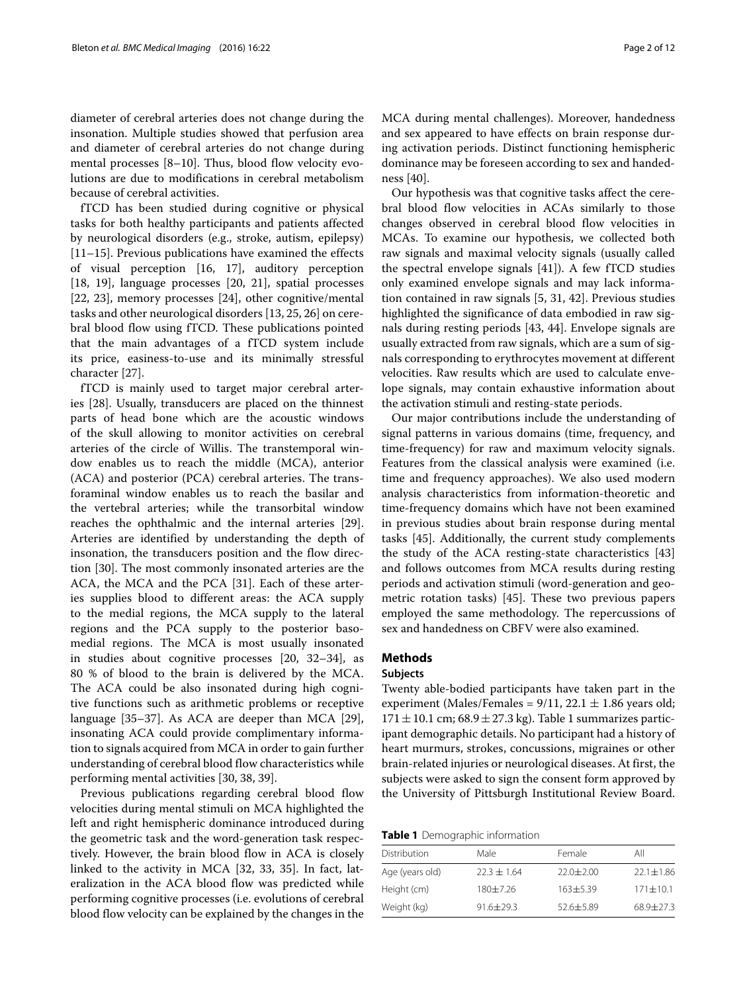diameter of cerebral arteries does not change during the insonation. Multiple studies showed that perfusion area and diameter of cerebral arteries do not change during mental processes [\[8](#page-9-5)[–10\]](#page-9-6). Thus, blood flow velocity evolutions are due to modifications in cerebral metabolism because of cerebral activities.

fTCD has been studied during cognitive or physical tasks for both healthy participants and patients affected by neurological disorders (e.g., stroke, autism, epilepsy) [\[11](#page-9-7)[–15\]](#page-9-8). Previous publications have examined the effects of visual perception [\[16,](#page-9-9) [17\]](#page-9-10), auditory perception [\[18,](#page-9-11) [19\]](#page-9-12), language processes [\[20,](#page-9-13) [21\]](#page-9-14), spatial processes [\[22,](#page-9-15) [23\]](#page-9-16), memory processes [\[24\]](#page-9-17), other cognitive/mental tasks and other neurological disorders [\[13,](#page-9-18) [25,](#page-9-19) [26\]](#page-9-20) on cerebral blood flow using fTCD. These publications pointed that the main advantages of a fTCD system include its price, easiness-to-use and its minimally stressful character [\[27\]](#page-9-21).

fTCD is mainly used to target major cerebral arteries [\[28\]](#page-9-22). Usually, transducers are placed on the thinnest parts of head bone which are the acoustic windows of the skull allowing to monitor activities on cerebral arteries of the circle of Willis. The transtemporal window enables us to reach the middle (MCA), anterior (ACA) and posterior (PCA) cerebral arteries. The transforaminal window enables us to reach the basilar and the vertebral arteries; while the transorbital window reaches the ophthalmic and the internal arteries [\[29\]](#page-10-0). Arteries are identified by understanding the depth of insonation, the transducers position and the flow direction [\[30\]](#page-10-1). The most commonly insonated arteries are the ACA, the MCA and the PCA [\[31\]](#page-10-2). Each of these arteries supplies blood to different areas: the ACA supply to the medial regions, the MCA supply to the lateral regions and the PCA supply to the posterior basomedial regions. The MCA is most usually insonated in studies about cognitive processes [\[20,](#page-9-13) [32](#page-10-3)[–34\]](#page-10-4), as 80 % of blood to the brain is delivered by the MCA. The ACA could be also insonated during high cognitive functions such as arithmetic problems or receptive language [\[35](#page-10-5)[–37\]](#page-10-6). As ACA are deeper than MCA [\[29\]](#page-10-0), insonating ACA could provide complimentary information to signals acquired from MCA in order to gain further understanding of cerebral blood flow characteristics while performing mental activities [\[30,](#page-10-1) [38,](#page-10-7) [39\]](#page-10-8).

Previous publications regarding cerebral blood flow velocities during mental stimuli on MCA highlighted the left and right hemispheric dominance introduced during the geometric task and the word-generation task respectively. However, the brain blood flow in ACA is closely linked to the activity in MCA [\[32,](#page-10-3) [33,](#page-10-9) [35\]](#page-10-5). In fact, lateralization in the ACA blood flow was predicted while performing cognitive processes (i.e. evolutions of cerebral blood flow velocity can be explained by the changes in the MCA during mental challenges). Moreover, handedness and sex appeared to have effects on brain response during activation periods. Distinct functioning hemispheric dominance may be foreseen according to sex and handedness [\[40\]](#page-10-10).

Our hypothesis was that cognitive tasks affect the cerebral blood flow velocities in ACAs similarly to those changes observed in cerebral blood flow velocities in MCAs. To examine our hypothesis, we collected both raw signals and maximal velocity signals (usually called the spectral envelope signals [\[41\]](#page-10-11)). A few fTCD studies only examined envelope signals and may lack information contained in raw signals [\[5,](#page-9-2) [31,](#page-10-2) [42\]](#page-10-12). Previous studies highlighted the significance of data embodied in raw signals during resting periods [\[43,](#page-10-13) [44\]](#page-10-14). Envelope signals are usually extracted from raw signals, which are a sum of signals corresponding to erythrocytes movement at different velocities. Raw results which are used to calculate envelope signals, may contain exhaustive information about the activation stimuli and resting-state periods.

Our major contributions include the understanding of signal patterns in various domains (time, frequency, and time-frequency) for raw and maximum velocity signals. Features from the classical analysis were examined (i.e. time and frequency approaches). We also used modern analysis characteristics from information-theoretic and time-frequency domains which have not been examined in previous studies about brain response during mental tasks [\[45\]](#page-10-15). Additionally, the current study complements the study of the ACA resting-state characteristics [\[43\]](#page-10-13) and follows outcomes from MCA results during resting periods and activation stimuli (word-generation and geometric rotation tasks) [\[45\]](#page-10-15). These two previous papers employed the same methodology. The repercussions of sex and handedness on CBFV were also examined.

### **Methods**

#### **Subjects**

Twenty able-bodied participants have taken part in the experiment (Males/Females =  $9/11$ , 22.1  $\pm$  1.86 years old;  $171 \pm 10.1$  $171 \pm 10.1$  $171 \pm 10.1$  cm;  $68.9 \pm 27.3$  kg). Table 1 summarizes participant demographic details. No participant had a history of heart murmurs, strokes, concussions, migraines or other brain-related injuries or neurological diseases. At first, the subjects were asked to sign the consent form approved by the University of Pittsburgh Institutional Review Board.

| Table 1 Demographic information |  |  |
|---------------------------------|--|--|
|                                 |  |  |

<span id="page-1-0"></span>

| Distribution    | Male            | Female        | All             |
|-----------------|-----------------|---------------|-----------------|
| Age (years old) | $22.3 \pm 1.64$ | $22.0 + 2.00$ | $22.1 \pm 1.86$ |
| Height (cm)     | $180 + 7.26$    | $163 + 5.39$  | $171 + 10.1$    |
| Weight (kg)     | $91.6 + 29.3$   | $52.6 + 5.89$ | $68.9 + 27.3$   |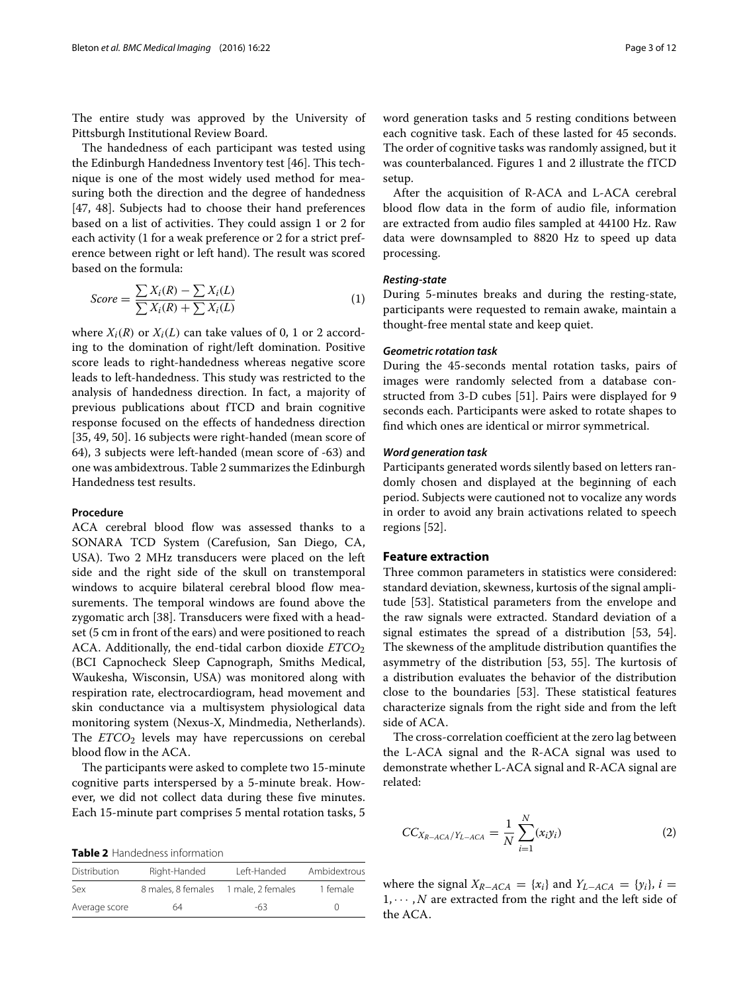The entire study was approved by the University of Pittsburgh Institutional Review Board.

The handedness of each participant was tested using the Edinburgh Handedness Inventory test [\[46\]](#page-10-16). This technique is one of the most widely used method for measuring both the direction and the degree of handedness [\[47,](#page-10-17) [48\]](#page-10-18). Subjects had to choose their hand preferences based on a list of activities. They could assign 1 or 2 for each activity (1 for a weak preference or 2 for a strict preference between right or left hand). The result was scored based on the formula:

$$
Score = \frac{\sum X_i(R) - \sum X_i(L)}{\sum X_i(R) + \sum X_i(L)}
$$
(1)

where  $X_i(R)$  or  $X_i(L)$  can take values of 0, 1 or 2 according to the domination of right/left domination. Positive score leads to right-handedness whereas negative score leads to left-handedness. This study was restricted to the analysis of handedness direction. In fact, a majority of previous publications about fTCD and brain cognitive response focused on the effects of handedness direction [\[35,](#page-10-5) [49,](#page-10-19) [50\]](#page-10-20). 16 subjects were right-handed (mean score of 64), 3 subjects were left-handed (mean score of -63) and one was ambidextrous. Table [2](#page-2-0) summarizes the Edinburgh Handedness test results.

#### **Procedure**

ACA cerebral blood flow was assessed thanks to a SONARA TCD System (Carefusion, San Diego, CA, USA). Two 2 MHz transducers were placed on the left side and the right side of the skull on transtemporal windows to acquire bilateral cerebral blood flow measurements. The temporal windows are found above the zygomatic arch [\[38\]](#page-10-7). Transducers were fixed with a headset (5 cm in front of the ears) and were positioned to reach ACA. Additionally, the end-tidal carbon dioxide *ETCO*<sup>2</sup> (BCI Capnocheck Sleep Capnograph, Smiths Medical, Waukesha, Wisconsin, USA) was monitored along with respiration rate, electrocardiogram, head movement and skin conductance via a multisystem physiological data monitoring system (Nexus-X, Mindmedia, Netherlands). The *ETCO*<sub>2</sub> levels may have repercussions on cerebal blood flow in the ACA.

The participants were asked to complete two 15-minute cognitive parts interspersed by a 5-minute break. However, we did not collect data during these five minutes. Each 15-minute part comprises 5 mental rotation tasks, 5

**Table 2** Handedness information

<span id="page-2-0"></span>

| Distribution  | Right-Handed                         | Left-Handed | Ambidextrous |
|---------------|--------------------------------------|-------------|--------------|
| Sex           | 8 males, 8 females 1 male, 2 females |             | 1 female     |
| Average score | 64                                   | -63         |              |

word generation tasks and 5 resting conditions between each cognitive task. Each of these lasted for 45 seconds. The order of cognitive tasks was randomly assigned, but it was counterbalanced. Figures [1](#page-3-0) and [2](#page-3-1) illustrate the fTCD setup.

After the acquisition of R-ACA and L-ACA cerebral blood flow data in the form of audio file, information are extracted from audio files sampled at 44100 Hz. Raw data were downsampled to 8820 Hz to speed up data processing.

#### *Resting-state*

During 5-minutes breaks and during the resting-state, participants were requested to remain awake, maintain a thought-free mental state and keep quiet.

#### *Geometric rotation task*

During the 45-seconds mental rotation tasks, pairs of images were randomly selected from a database constructed from 3-D cubes [\[51\]](#page-10-21). Pairs were displayed for 9 seconds each. Participants were asked to rotate shapes to find which ones are identical or mirror symmetrical.

#### *Word generation task*

Participants generated words silently based on letters randomly chosen and displayed at the beginning of each period. Subjects were cautioned not to vocalize any words in order to avoid any brain activations related to speech regions [\[52\]](#page-10-22).

#### **Feature extraction**

Three common parameters in statistics were considered: standard deviation, skewness, kurtosis of the signal amplitude [\[53\]](#page-10-23). Statistical parameters from the envelope and the raw signals were extracted. Standard deviation of a signal estimates the spread of a distribution [\[53,](#page-10-23) [54\]](#page-10-24). The skewness of the amplitude distribution quantifies the asymmetry of the distribution [\[53,](#page-10-23) [55\]](#page-10-25). The kurtosis of a distribution evaluates the behavior of the distribution close to the boundaries [\[53\]](#page-10-23). These statistical features characterize signals from the right side and from the left side of ACA.

The cross-correlation coefficient at the zero lag between the L-ACA signal and the R-ACA signal was used to demonstrate whether L-ACA signal and R-ACA signal are related:

$$
CC_{X_{R-ACA}/Y_{L-ACA}} = \frac{1}{N} \sum_{i=1}^{N} (x_i y_i)
$$
 (2)

where the signal  $X_{R-ACA} = \{x_i\}$  and  $Y_{L-ACA} = \{y_i\}$ ,  $i =$  $1, \dots, N$  are extracted from the right and the left side of the ACA.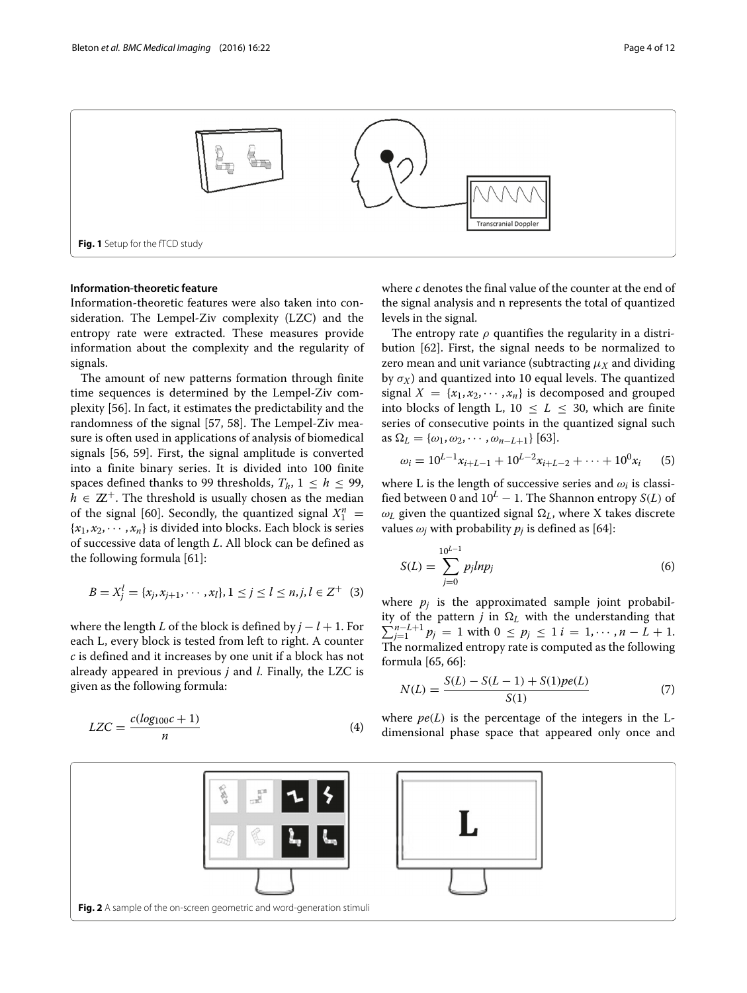

#### <span id="page-3-0"></span>**Information-theoretic feature**

Information-theoretic features were also taken into consideration. The Lempel-Ziv complexity (LZC) and the entropy rate were extracted. These measures provide information about the complexity and the regularity of signals.

The amount of new patterns formation through finite time sequences is determined by the Lempel-Ziv complexity [\[56\]](#page-10-26). In fact, it estimates the predictability and the randomness of the signal [\[57,](#page-10-27) [58\]](#page-10-28). The Lempel-Ziv measure is often used in applications of analysis of biomedical signals [\[56,](#page-10-26) [59\]](#page-10-29). First, the signal amplitude is converted into a finite binary series. It is divided into 100 finite spaces defined thanks to 99 thresholds,  $T_h$ ,  $1 \leq h \leq 99$ ,  $h \in \mathbb{Z}^+$ . The threshold is usually chosen as the median of the signal [\[60\]](#page-10-30). Secondly, the quantized signal  $X_1^n$  =  ${x_1, x_2, \dots, x_n}$  is divided into blocks. Each block is series of successive data of length *L*. All block can be defined as the following formula [\[61\]](#page-10-31):

$$
B = X_j^l = \{x_j, x_{j+1}, \cdots, x_l\}, 1 \le j \le l \le n, j, l \in \mathbb{Z}^+ \quad (3)
$$

where the length *L* of the block is defined by *j* − *l* + 1. For each L, every block is tested from left to right. A counter *c* is defined and it increases by one unit if a block has not already appeared in previous *j* and *l*. Finally, the LZC is given as the following formula:

$$
LZC = \frac{c(\log_{100}c + 1)}{n} \tag{4}
$$

where *c* denotes the final value of the counter at the end of the signal analysis and n represents the total of quantized levels in the signal.

The entropy rate  $\rho$  quantifies the regularity in a distribution [\[62\]](#page-10-32). First, the signal needs to be normalized to zero mean and unit variance (subtracting  $\mu_X$  and dividing by  $\sigma_X$ ) and quantized into 10 equal levels. The quantized signal  $X = \{x_1, x_2, \dots, x_n\}$  is decomposed and grouped into blocks of length L,  $10 \le L \le 30$ , which are finite series of consecutive points in the quantized signal such as  $\Omega_L = {\omega_1, \omega_2, \cdots, \omega_{n-L+1}}$  [\[63\]](#page-10-33).

$$
\omega_i = 10^{L-1} x_{i+L-1} + 10^{L-2} x_{i+L-2} + \dots + 10^0 x_i \tag{5}
$$

where L is the length of successive series and  $\omega_i$  is classified between 0 and  $10^L - 1$ . The Shannon entropy *S*(*L*) of  $\omega_L$  given the quantized signal  $\Omega_L$ , where X takes discrete values  $\omega_i$  with probability  $p_i$  is defined as [\[64\]](#page-10-34):

$$
S(L) = \sum_{j=0}^{10^{L-1}} p_j l n p_j
$$
 (6)

where  $p_j$  is the approximated sample joint probability of the pattern  $j$  in  $\Omega_L$  with the understanding that *i* if *y* of the pattern *j* in  $\Omega_L$  with the understanding that  $\sum_{j=1}^{n-L+1} p_j = 1$  with  $0 \leq p_j \leq 1$  *i* = 1, ··· , *n*−*L* + 1. The normalized entropy rate is computed as the following formula [\[65,](#page-10-35) [66\]](#page-10-36):

$$
N(L) = \frac{S(L) - S(L-1) + S(1)pe(L)}{S(1)}
$$
\n(7)

where  $pe(L)$  is the percentage of the integers in the Ldimensional phase space that appeared only once and

<span id="page-3-1"></span>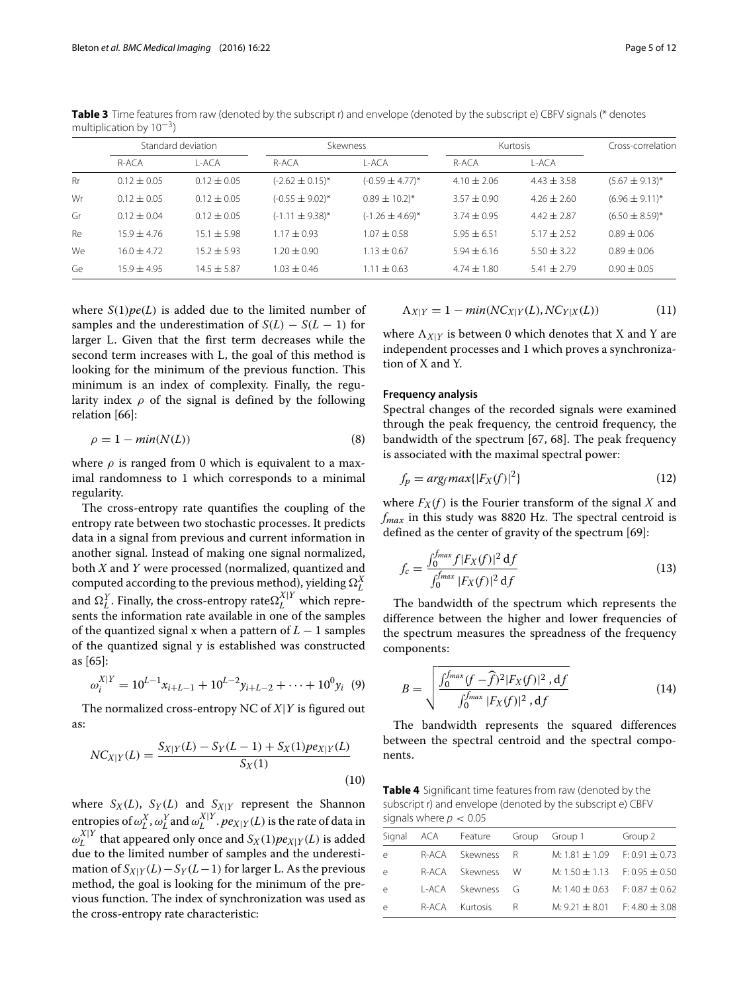|    | Standard deviation |                 |                        | Skewness                     |                 | Kurtosis        |                     |  |
|----|--------------------|-----------------|------------------------|------------------------------|-----------------|-----------------|---------------------|--|
|    | $R-ACA$            | $I - ACA$       | $R-ACA$                | I-ACA                        | $R-ACA$         | L-ACA           |                     |  |
| Rr | $0.12 \pm 0.05$    | $0.12 \pm 0.05$ | $(-2.62 \pm 0.15)^*$   | $(-0.59 \pm 4.77)^*$         | $4.10 \pm 2.06$ | $4.43 + 3.58$   | $(5.67 \pm 9.13)^*$ |  |
| Wr | $0.12 \pm 0.05$    | $0.12 \pm 0.05$ | $(-0.55 \pm 9.02)^*$   | $0.89 \pm 10.2$ <sup>*</sup> | $3.57 + 0.90$   | $4.26 \pm 2.60$ | $(6.96 \pm 9.11)^*$ |  |
| Gr | $0.12 \pm 0.04$    | $0.12 \pm 0.05$ | $(-1.11 \pm 9.38)^{*}$ | $(-1.26 \pm 4.69)^{*}$       | $3.74 + 0.95$   | $4.42 + 2.87$   | $(6.50 \pm 8.59)^*$ |  |
| Re | $15.9 + 4.76$      | $15.1 + 5.98$   | $1.17 \pm 0.93$        | $1.07 + 0.58$                | $5.95 \pm 6.51$ | $5.17 + 2.52$   | $0.89 + 0.06$       |  |
| We | $16.0 + 4.72$      | $15.2 + 5.93$   | $1.20 \pm 0.90$        | $1.13 + 0.67$                | $5.94 \pm 6.16$ | $5.50 + 3.22$   | $0.89 + 0.06$       |  |
| Ge | $15.9 + 4.95$      | $14.5 + 5.87$   | $1.03 + 0.46$          | $1.11 \pm 0.63$              | $4.74 \pm 1.80$ | $5.41 \pm 2.79$ | $0.90 \pm 0.05$     |  |

<span id="page-4-0"></span>**Table 3** Time features from raw (denoted by the subscript r) and envelope (denoted by the subscript e) CBFV signals (\* denotes multiplication by  $10^{-3}$ )

where *S*(1)*pe*(*L*) is added due to the limited number of samples and the underestimation of  $S(L) - S(L - 1)$  for larger L. Given that the first term decreases while the second term increases with L, the goal of this method is looking for the minimum of the previous function. This minimum is an index of complexity. Finally, the regularity index  $\rho$  of the signal is defined by the following relation [\[66\]](#page-10-36):

$$
\rho = 1 - \min(N(L))\tag{8}
$$

where  $\rho$  is ranged from 0 which is equivalent to a maximal randomness to 1 which corresponds to a minimal regularity.

The cross-entropy rate quantifies the coupling of the entropy rate between two stochastic processes. It predicts data in a signal from previous and current information in another signal. Instead of making one signal normalized, both *X* and *Y* were processed (normalized, quantized and computed according to the previous method), yielding  $\Omega_L^X$ and  $\Omega_L^Y$ . Finally, the cross-entropy rate $\Omega_L^{X|Y}$  which represents the information rate available in one of the samples of the quantized signal x when a pattern of  $L - 1$  samples of the quantized signal y is established was constructed as [\[65\]](#page-10-35):

$$
\omega_i^{X|Y} = 10^{L-1}x_{i+L-1} + 10^{L-2}y_{i+L-2} + \dots + 10^0 y_i \tag{9}
$$

The normalized cross-entropy NC of *X*|*Y* is figured out as:

$$
NC_{X|Y}(L) = \frac{S_{X|Y}(L) - S_Y(L-1) + S_X(1)pe_{X|Y}(L)}{S_X(1)}
$$
\n(10)

where  $S_X(L)$ ,  $S_Y(L)$  and  $S_{X|Y}$  represent the Shannon entropies of  $\omega_L^X$ ,  $\omega_L^Y$  and  $\omega_L^{X|Y}$ .  $pe_{X|Y}(L)$  is the rate of data in  $\omega_L^{X|Y}$  that appeared only once and  $S_X(1)pe_{X|Y}(L)$  is added due to the limited number of samples and the underestimation of  $S_{X|Y}(L) - S_Y(L-1)$  for larger L. As the previous method, the goal is looking for the minimum of the previous function. The index of synchronization was used as the cross-entropy rate characteristic:

$$
\Lambda_{X|Y} = 1 - \min(NC_{X|Y}(L), NC_{Y|X}(L))
$$
\n(11)

where  $\Lambda_{X|Y}$  is between 0 which denotes that X and Y are independent processes and 1 which proves a synchronization of X and Y.

#### **Frequency analysis**

Spectral changes of the recorded signals were examined through the peak frequency, the centroid frequency, the bandwidth of the spectrum [\[67,](#page-10-37) [68\]](#page-10-38). The peak frequency is associated with the maximal spectral power:

$$
f_p = arg_f max\{|F_X(f)|^2\}
$$
\n(12)

where  $F_X(f)$  is the Fourier transform of the signal *X* and *fmax* in this study was 8820 Hz. The spectral centroid is defined as the center of gravity of the spectrum [\[69\]](#page-10-39):

$$
f_c = \frac{\int_0^{f_{max}} f|F_X(f)|^2 df}{\int_0^{f_{max}} |F_X(f)|^2 df}
$$
(13)

The bandwidth of the spectrum which represents the difference between the higher and lower frequencies of the spectrum measures the spreadness of the frequency components:

$$
B = \sqrt{\frac{\int_0^{f_{max}} (f - \hat{f})^2 |F_X(f)|^2}{\int_0^{f_{max}} |F_X(f)|^2} \, df} \tag{14}
$$

The bandwidth represents the squared differences between the spectral centroid and the spectral components.

<span id="page-4-1"></span>**Table 4** Significant time features from raw (denoted by the subscript r) and envelope (denoted by the subscript e) CBFV signals where  $p < 0.05$ 

| Signal     | ACA.    | Feature    | Group | Group 1            | Group 2            |
|------------|---------|------------|-------|--------------------|--------------------|
| e          | $R-ACA$ | Skewness R |       | $M: 1.81 + 1.09$   | $F: 0.91 + 0.73$   |
| e          | R-ACA   | Skewness   | W     | M: $1.50 \pm 1.13$ | $F: 0.95 \pm 0.50$ |
| $\epsilon$ | I-ACA   | Skewness   | - G   | M: $1.40 + 0.63$   | $F: 0.87 \pm 0.62$ |
| $\epsilon$ | $R-ACA$ | Kurtosis   | R     | $M: 9.21 \pm 8.01$ | $F: 4.80 \pm 3.08$ |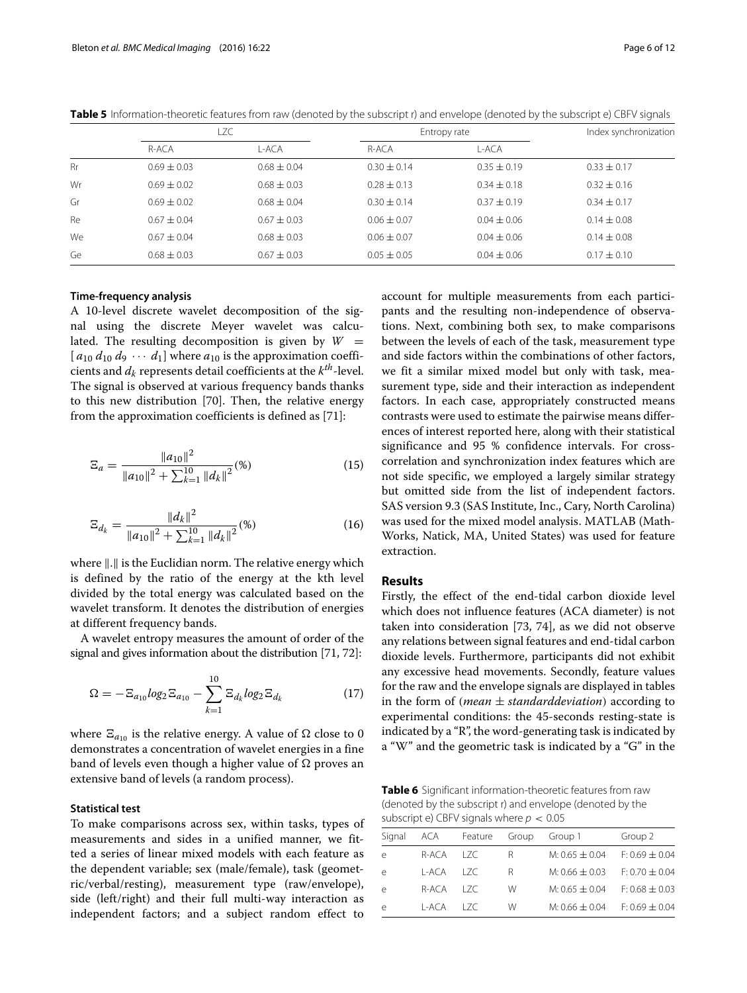|           | LZC             |                 |                 | Entropy rate    | Index synchronization |  |
|-----------|-----------------|-----------------|-----------------|-----------------|-----------------------|--|
|           | R-ACA           | L-ACA           | R-ACA           | L-ACA           |                       |  |
| <b>Rr</b> | $0.69 \pm 0.03$ | $0.68 \pm 0.04$ | $0.30 \pm 0.14$ | $0.35 \pm 0.19$ | $0.33 \pm 0.17$       |  |
| Wr        | $0.69 \pm 0.02$ | $0.68 \pm 0.03$ | $0.28 \pm 0.13$ | $0.34 \pm 0.18$ | $0.32 \pm 0.16$       |  |
| Gr        | $0.69 \pm 0.02$ | $0.68 + 0.04$   | $0.30 \pm 0.14$ | $0.37 + 0.19$   | $0.34 \pm 0.17$       |  |
| Re        | $0.67 + 0.04$   | $0.67 \pm 0.03$ | $0.06 + 0.07$   | $0.04 \pm 0.06$ | $0.14 \pm 0.08$       |  |
| We        | $0.67 + 0.04$   | $0.68 \pm 0.03$ | $0.06 \pm 0.07$ | $0.04 \pm 0.06$ | $0.14 \pm 0.08$       |  |
| Ge        | $0.68 \pm 0.03$ | $0.67 \pm 0.03$ | $0.05 \pm 0.05$ | $0.04 \pm 0.06$ | $0.17 \pm 0.10$       |  |

<span id="page-5-0"></span>**Table 5** Information-theoretic features from raw (denoted by the subscript r) and envelope (denoted by the subscript e) CBFV signals

#### **Time-frequency analysis**

A 10-level discrete wavelet decomposition of the signal using the discrete Meyer wavelet was calculated. The resulting decomposition is given by  $W =$  $[a_{10} d_{10} d_9 \cdots d_1]$  where  $a_{10}$  is the approximation coefficients and  $d_k$  represents detail coefficients at the  $k^{th}$ -level. The signal is observed at various frequency bands thanks to this new distribution [\[70\]](#page-10-40). Then, the relative energy from the approximation coefficients is defined as [\[71\]](#page-10-41):

$$
\Xi_a = \frac{\|a_{10}\|^2}{\|a_{10}\|^2 + \sum_{k=1}^{10} \|d_k\|^2} \tag{15}
$$

$$
\Xi_{d_k} = \frac{\|d_k\|^2}{\|a_{10}\|^2 + \sum_{k=1}^{10} \|d_k\|^2} \, \text{(96)}
$$

where  $\|.\|$  is the Euclidian norm. The relative energy which is defined by the ratio of the energy at the kth level divided by the total energy was calculated based on the wavelet transform. It denotes the distribution of energies at different frequency bands.

A wavelet entropy measures the amount of order of the signal and gives information about the distribution [\[71,](#page-10-41) [72\]](#page-10-42):

$$
\Omega = -\Xi_{a_{10}} log_2 \Xi_{a_{10}} - \sum_{k=1}^{10} \Xi_{d_k} log_2 \Xi_{d_k}
$$
 (17)

where  $\Xi_{a_{10}}$  is the relative energy. A value of  $\Omega$  close to 0 demonstrates a concentration of wavelet energies in a fine band of levels even though a higher value of  $\Omega$  proves an extensive band of levels (a random process).

#### **Statistical test**

To make comparisons across sex, within tasks, types of measurements and sides in a unified manner, we fitted a series of linear mixed models with each feature as the dependent variable; sex (male/female), task (geometric/verbal/resting), measurement type (raw/envelope), side (left/right) and their full multi-way interaction as independent factors; and a subject random effect to

account for multiple measurements from each participants and the resulting non-independence of observations. Next, combining both sex, to make comparisons between the levels of each of the task, measurement type and side factors within the combinations of other factors, we fit a similar mixed model but only with task, measurement type, side and their interaction as independent factors. In each case, appropriately constructed means contrasts were used to estimate the pairwise means differences of interest reported here, along with their statistical significance and 95 % confidence intervals. For crosscorrelation and synchronization index features which are not side specific, we employed a largely similar strategy but omitted side from the list of independent factors. SAS version 9.3 (SAS Institute, Inc., Cary, North Carolina) was used for the mixed model analysis. MATLAB (Math-Works, Natick, MA, United States) was used for feature extraction.

#### **Results**

Firstly, the effect of the end-tidal carbon dioxide level which does not influence features (ACA diameter) is not taken into consideration [\[73,](#page-10-43) [74\]](#page-10-44), as we did not observe any relations between signal features and end-tidal carbon dioxide levels. Furthermore, participants did not exhibit any excessive head movements. Secondly, feature values for the raw and the envelope signals are displayed in tables in the form of (*mean* ± *standarddeviation*) according to experimental conditions: the 45-seconds resting-state is indicated by a "R", the word-generating task is indicated by a "W" and the geometric task is indicated by a "G" in the

<span id="page-5-1"></span>**Table 6** Significant information-theoretic features from raw (denoted by the subscript r) and envelope (denoted by the subscript e) CBFV signals where  $p < 0.05$ 

| Signal     | ACA.      | Feature | Group | Group 1            | Group 2            |
|------------|-----------|---------|-------|--------------------|--------------------|
| $\epsilon$ | $R-ACA$   | 17C     | R     | M: $0.65 \pm 0.04$ | $F: 0.69 \pm 0.04$ |
| $\epsilon$ | $I - ACA$ | 17C     | R     | $M: 0.66 + 0.03$   | $F: 0.70 \pm 0.04$ |
| $\epsilon$ | $R-ACA$   | 17C     | W     | $M: 0.65 + 0.04$   | $F: 0.68 \pm 0.03$ |
| $\epsilon$ | $I - ACA$ | 17C     | w     | M: $0.66 \pm 0.04$ | $F: 0.69 \pm 0.04$ |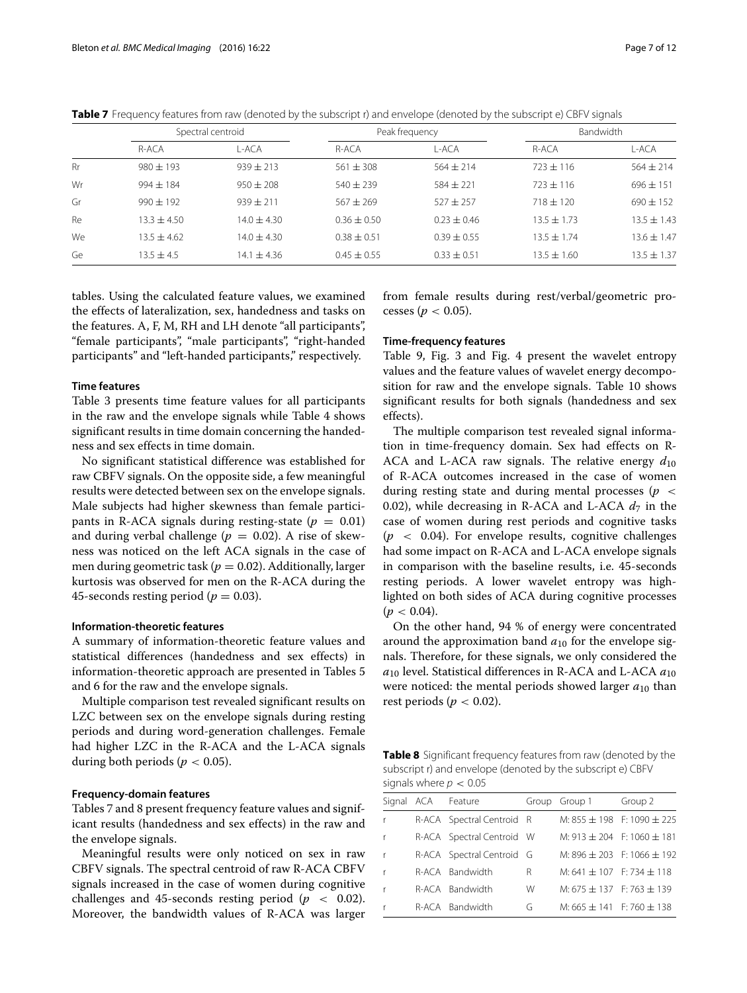|    |               | Spectral centroid |                 | Peak frequency  | Bandwidth       |                 |  |
|----|---------------|-------------------|-----------------|-----------------|-----------------|-----------------|--|
|    | R-ACA         | L-ACA             | R-ACA           | L-ACA           | R-ACA           | L-ACA           |  |
| Rr | $980 + 193$   | $939 + 213$       | $561 \pm 308$   | $564 + 214$     | $723 \pm 116$   | $564 \pm 214$   |  |
| Wr | $994 + 184$   | $950 + 208$       | $540 + 239$     | $584 + 221$     | $723 + 116$     | $696 \pm 151$   |  |
| Gr | $990 + 192$   | $939 + 211$       | $567 \pm 269$   | $527 + 257$     | $718 + 120$     | $690 + 152$     |  |
| Re | $13.3 + 4.50$ | $14.0 + 4.30$     | $0.36 \pm 0.50$ | $0.23 + 0.46$   | $13.5 \pm 1.73$ | $13.5 + 1.43$   |  |
| We | $13.5 + 4.62$ | $14.0 + 4.30$     | $0.38 + 0.51$   | $0.39 + 0.55$   | $13.5 + 1.74$   | $13.6 + 1.47$   |  |
| Ge | $13.5 + 4.5$  | $14.1 \pm 4.36$   | $0.45 \pm 0.55$ | $0.33 \pm 0.51$ | $13.5 \pm 1.60$ | $13.5 \pm 1.37$ |  |

<span id="page-6-0"></span>**Table 7** Frequency features from raw (denoted by the subscript r) and envelope (denoted by the subscript e) CBFV signals

tables. Using the calculated feature values, we examined the effects of lateralization, sex, handedness and tasks on the features. A, F, M, RH and LH denote "all participants", "female participants", "male participants", "right-handed participants" and "left-handed participants," respectively.

#### **Time features**

Table [3](#page-4-0) presents time feature values for all participants in the raw and the envelope signals while Table [4](#page-4-1) shows significant results in time domain concerning the handedness and sex effects in time domain.

No significant statistical difference was established for raw CBFV signals. On the opposite side, a few meaningful results were detected between sex on the envelope signals. Male subjects had higher skewness than female participants in R-ACA signals during resting-state  $(p = 0.01)$ and during verbal challenge ( $p = 0.02$ ). A rise of skewness was noticed on the left ACA signals in the case of men during geometric task ( $p = 0.02$ ). Additionally, larger kurtosis was observed for men on the R-ACA during the 45-seconds resting period ( $p = 0.03$ ).

#### **Information-theoretic features**

A summary of information-theoretic feature values and statistical differences (handedness and sex effects) in information-theoretic approach are presented in Tables [5](#page-5-0) and [6](#page-5-1) for the raw and the envelope signals.

Multiple comparison test revealed significant results on LZC between sex on the envelope signals during resting periods and during word-generation challenges. Female had higher LZC in the R-ACA and the L-ACA signals during both periods ( $p < 0.05$ ).

#### **Frequency-domain features**

Tables [7](#page-6-0) and [8](#page-6-1) present frequency feature values and significant results (handedness and sex effects) in the raw and the envelope signals.

Meaningful results were only noticed on sex in raw CBFV signals. The spectral centroid of raw R-ACA CBFV signals increased in the case of women during cognitive challenges and 45-seconds resting period  $(p < 0.02)$ . Moreover, the bandwidth values of R-ACA was larger

from female results during rest/verbal/geometric processes ( $p < 0.05$ ).

#### **Time-frequency features**

Table [9,](#page-7-0) Fig. [3](#page-7-1) and Fig. [4](#page-8-0) present the wavelet entropy values and the feature values of wavelet energy decomposition for raw and the envelope signals. Table [10](#page-8-1) shows significant results for both signals (handedness and sex effects).

The multiple comparison test revealed signal information in time-frequency domain. Sex had effects on R-ACA and L-ACA raw signals. The relative energy  $d_{10}$ of R-ACA outcomes increased in the case of women during resting state and during mental processes (*p* < 0.02), while decreasing in R-ACA and L-ACA  $d_7$  in the case of women during rest periods and cognitive tasks  $(p \lt 0.04)$ . For envelope results, cognitive challenges had some impact on R-ACA and L-ACA envelope signals in comparison with the baseline results, i.e. 45-seconds resting periods. A lower wavelet entropy was highlighted on both sides of ACA during cognitive processes  $(p < 0.04)$ .

On the other hand, 94 % of energy were concentrated around the approximation band  $a_{10}$  for the envelope signals. Therefore, for these signals, we only considered the *a*<sup>10</sup> level. Statistical differences in R-ACA and L-ACA *a*<sup>10</sup> were noticed: the mental periods showed larger  $a_{10}$  than rest periods ( $p < 0.02$ ).

<span id="page-6-1"></span>**Table 8** Significant frequency features from raw (denoted by the subscript r) and envelope (denoted by the subscript e) CBFV signals where  $p < 0.05$ 

| Signal ACA | Feature                   |   | Group Group 1                     | Group 2                            |
|------------|---------------------------|---|-----------------------------------|------------------------------------|
| r          | R-ACA Spectral Centroid R |   |                                   | M: $855 \pm 198$ F: 1090 $\pm 225$ |
| r          | R-ACA Spectral Centroid W |   |                                   | M: $913 \pm 204$ F: 1060 $\pm$ 181 |
| r          | R-ACA Spectral Centroid G |   |                                   | M: $896 + 203$ F: 1066 + 192       |
|            | R-ACA Bandwidth           | R | M: 641 $\pm$ 107 F: 734 $\pm$ 118 |                                    |
|            | R-ACA Bandwidth           | W | M: 675 $\pm$ 137 F: 763 $\pm$ 139 |                                    |
|            | R-ACA Bandwidth           | G | M: 665 $\pm$ 141 F: 760 $\pm$ 138 |                                    |
|            |                           |   |                                   |                                    |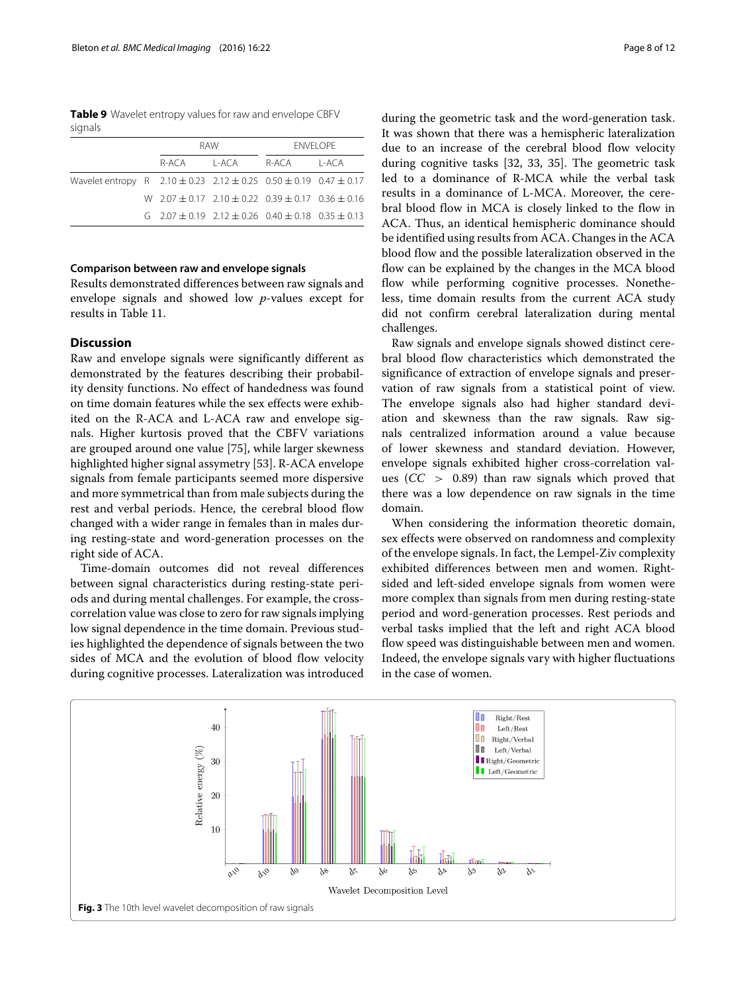<span id="page-7-0"></span>**Table 9** Wavelet entropy values for raw and envelope CBFV signals

|                                                                                   |             | <b>RAW</b>                                                        |             | <b>FNVFI OPF</b> |
|-----------------------------------------------------------------------------------|-------------|-------------------------------------------------------------------|-------------|------------------|
|                                                                                   | R-ACA I-ACA |                                                                   | R-ACA I-ACA |                  |
| Wavelet entropy R $2.10 \pm 0.23$ $2.12 \pm 0.25$ $0.50 \pm 0.19$ $0.47 \pm 0.17$ |             |                                                                   |             |                  |
|                                                                                   |             | W $2.07 \pm 0.17$ $2.10 \pm 0.22$ $0.39 \pm 0.17$ $0.36 \pm 0.16$ |             |                  |
|                                                                                   |             | G $2.07 \pm 0.19$ $2.12 \pm 0.26$ $0.40 \pm 0.18$ $0.35 \pm 0.13$ |             |                  |

#### **Comparison between raw and envelope signals**

Results demonstrated differences between raw signals and envelope signals and showed low *p*-values except for results in Table [11.](#page-8-2)

#### **Discussion**

Raw and envelope signals were significantly different as demonstrated by the features describing their probability density functions. No effect of handedness was found on time domain features while the sex effects were exhibited on the R-ACA and L-ACA raw and envelope signals. Higher kurtosis proved that the CBFV variations are grouped around one value [\[75\]](#page-10-45), while larger skewness highlighted higher signal assymetry [\[53\]](#page-10-23). R-ACA envelope signals from female participants seemed more dispersive and more symmetrical than from male subjects during the rest and verbal periods. Hence, the cerebral blood flow changed with a wider range in females than in males during resting-state and word-generation processes on the right side of ACA.

Time-domain outcomes did not reveal differences between signal characteristics during resting-state periods and during mental challenges. For example, the crosscorrelation value was close to zero for raw signals implying low signal dependence in the time domain. Previous studies highlighted the dependence of signals between the two sides of MCA and the evolution of blood flow velocity during cognitive processes. Lateralization was introduced during the geometric task and the word-generation task. It was shown that there was a hemispheric lateralization due to an increase of the cerebral blood flow velocity during cognitive tasks [\[32,](#page-10-3) [33,](#page-10-9) [35\]](#page-10-5). The geometric task led to a dominance of R-MCA while the verbal task results in a dominance of L-MCA. Moreover, the cerebral blood flow in MCA is closely linked to the flow in ACA. Thus, an identical hemispheric dominance should be identified using results from ACA. Changes in the ACA blood flow and the possible lateralization observed in the flow can be explained by the changes in the MCA blood flow while performing cognitive processes. Nonetheless, time domain results from the current ACA study did not confirm cerebral lateralization during mental challenges.

Raw signals and envelope signals showed distinct cerebral blood flow characteristics which demonstrated the significance of extraction of envelope signals and preservation of raw signals from a statistical point of view. The envelope signals also had higher standard deviation and skewness than the raw signals. Raw signals centralized information around a value because of lower skewness and standard deviation. However, envelope signals exhibited higher cross-correlation values (*CC* > 0.89) than raw signals which proved that there was a low dependence on raw signals in the time domain.

When considering the information theoretic domain, sex effects were observed on randomness and complexity of the envelope signals. In fact, the Lempel-Ziv complexity exhibited differences between men and women. Rightsided and left-sided envelope signals from women were more complex than signals from men during resting-state period and word-generation processes. Rest periods and verbal tasks implied that the left and right ACA blood flow speed was distinguishable between men and women. Indeed, the envelope signals vary with higher fluctuations in the case of women.

<span id="page-7-1"></span>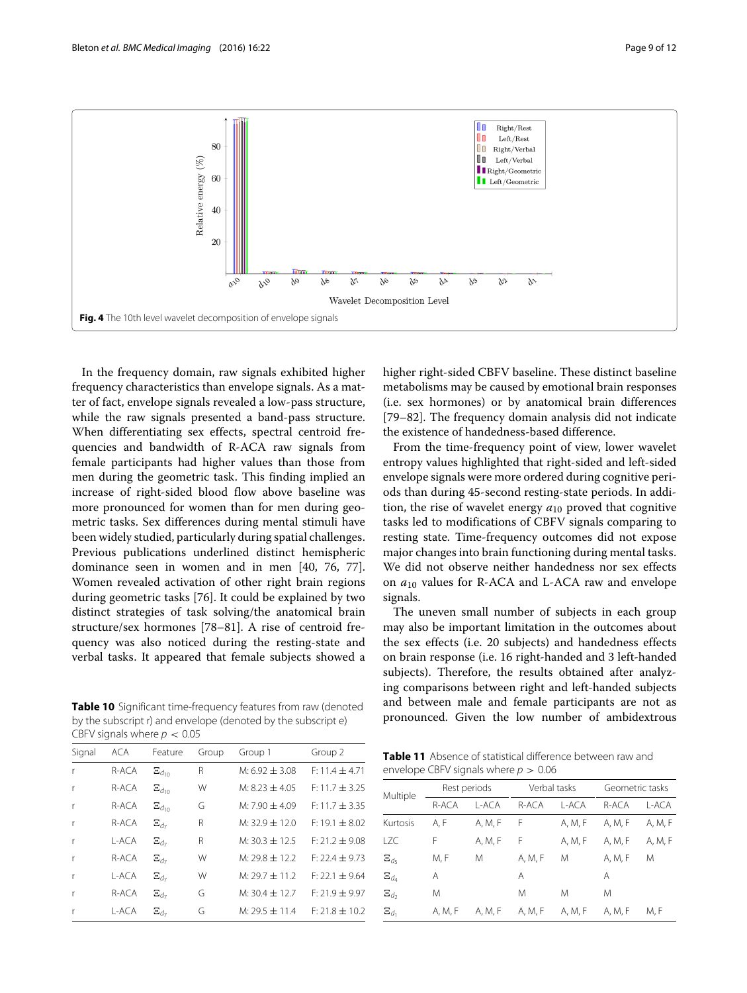

<span id="page-8-0"></span>In the frequency domain, raw signals exhibited higher frequency characteristics than envelope signals. As a matter of fact, envelope signals revealed a low-pass structure, while the raw signals presented a band-pass structure. When differentiating sex effects, spectral centroid frequencies and bandwidth of R-ACA raw signals from female participants had higher values than those from men during the geometric task. This finding implied an increase of right-sided blood flow above baseline was more pronounced for women than for men during geometric tasks. Sex differences during mental stimuli have been widely studied, particularly during spatial challenges. Previous publications underlined distinct hemispheric dominance seen in women and in men [\[40,](#page-10-10) [76,](#page-10-46) [77\]](#page-10-47). Women revealed activation of other right brain regions during geometric tasks [\[76\]](#page-10-46). It could be explained by two distinct strategies of task solving/the anatomical brain structure/sex hormones [\[78–](#page-10-48)[81\]](#page-11-0). A rise of centroid frequency was also noticed during the resting-state and verbal tasks. It appeared that female subjects showed a

<span id="page-8-1"></span>**Table 10** Significant time-frequency features from raw (denoted by the subscript r) and envelope (denoted by the subscript e) CBFV signals where  $p < 0.05$ 

Signal ACA Feature Group Group 1 Group 2

higher right-sided CBFV baseline. These distinct baseline metabolisms may be caused by emotional brain responses (i.e. sex hormones) or by anatomical brain differences [\[79](#page-11-1)[–82\]](#page-11-2). The frequency domain analysis did not indicate the existence of handedness-based difference.

From the time-frequency point of view, lower wavelet entropy values highlighted that right-sided and left-sided envelope signals were more ordered during cognitive periods than during 45-second resting-state periods. In addition, the rise of wavelet energy  $a_{10}$  proved that cognitive tasks led to modifications of CBFV signals comparing to resting state. Time-frequency outcomes did not expose major changes into brain functioning during mental tasks. We did not observe neither handedness nor sex effects on *a*<sup>10</sup> values for R-ACA and L-ACA raw and envelope signals.

The uneven small number of subjects in each group may also be important limitation in the outcomes about the sex effects (i.e. 20 subjects) and handedness effects on brain response (i.e. 16 right-handed and 3 left-handed subjects). Therefore, the results obtained after analyzing comparisons between right and left-handed subjects and between male and female participants are not as pronounced. Given the low number of ambidextrous

<span id="page-8-2"></span>

| <b>Table 11</b> Absence of statistical difference between raw and |
|-------------------------------------------------------------------|
| envelope CBFV signals where $p > 0.06$                            |
|                                                                   |

|   | R-ACA | $\Xi_{d_{10}}$ | R. | M: 6.92 $\pm$ 3.08 | $F: 11.4 \pm 4.71$ |                 | envelope CBFV signals where $p > 0.06$ |              |         |              |         |                 |
|---|-------|----------------|----|--------------------|--------------------|-----------------|----------------------------------------|--------------|---------|--------------|---------|-----------------|
| r | R-ACA | $E_{d_{10}}$   | W  | $M: 8.23 + 4.05$   | $F: 11.7 + 3.25$   | <b>Multiple</b> |                                        | Rest periods |         | Verbal tasks |         | Geometric tasks |
| r | R-ACA | $\Xi_{d_{10}}$ | G  | $M: 7.90 + 4.09$   | $F: 11.7 \pm 3.35$ |                 | R-ACA                                  | L-ACA        | R-ACA   | L-ACA        | R-ACA   | L-ACA           |
| r | R-ACA | $\Xi_{d_2}$    | R. | $M: 32.9 + 12.0$   | $F: 19.1 \pm 8.02$ | Kurtosis        | A, F                                   | A, M, F      | -F      | A, M, F      | A, M, F | A, M, F         |
| r | L-ACA | $\Xi_{d_2}$    | R. | $M: 30.3 + 12.5$   | $F: 21.2 \pm 9.08$ | LZC             |                                        | A, M, F      | -F      | A, M, F      | A, M, F | A, M, F         |
| r | R-ACA | $\Xi_{d_2}$    | W  | $M: 29.8 + 12.2$   | $F: 22.4 \pm 9.73$ | $\Xi_{d_5}$     | M, F                                   | M            | A, M, F | M            | A, M, F | M               |
| r | L-ACA | $E_{d_2}$      | W  | $M: 29.7 + 11.2$   | $F: 22.1 \pm 9.64$ | $\Xi_{d_4}$     | A                                      |              | А       |              | А       |                 |
| r | R-ACA | $\Xi_{d}$      | G  | $M: 30.4 + 12.7$   | $F: 21.9 \pm 9.97$ | $\Xi_d$         | M                                      |              | M       | M            | M       |                 |
| r | L-ACA | $\Xi_{d_7}$    | G  | M: $29.5 \pm 11.4$ | $F: 21.8 \pm 10.2$ | $\Xi_{d_1}$     | A, M, F                                | A, M, F      | A, M, F | A, M, F      | A, M, F | M, F            |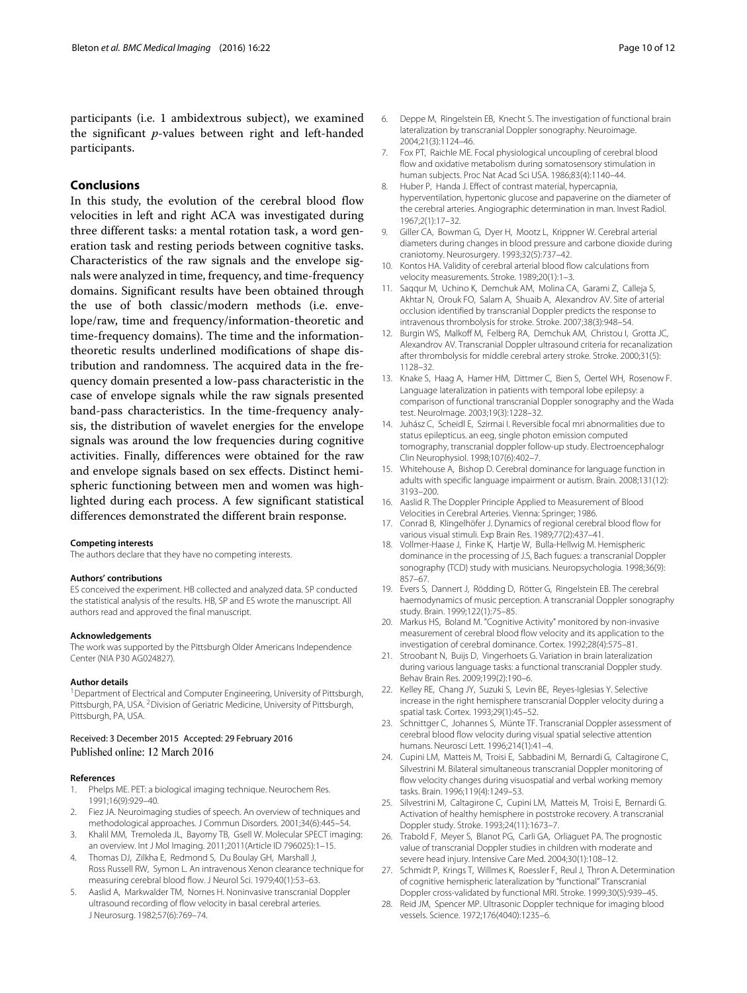participants (i.e. 1 ambidextrous subject), we examined the significant *p*-values between right and left-handed participants.

#### **Conclusions**

In this study, the evolution of the cerebral blood flow velocities in left and right ACA was investigated during three different tasks: a mental rotation task, a word generation task and resting periods between cognitive tasks. Characteristics of the raw signals and the envelope signals were analyzed in time, frequency, and time-frequency domains. Significant results have been obtained through the use of both classic/modern methods (i.e. envelope/raw, time and frequency/information-theoretic and time-frequency domains). The time and the informationtheoretic results underlined modifications of shape distribution and randomness. The acquired data in the frequency domain presented a low-pass characteristic in the case of envelope signals while the raw signals presented band-pass characteristics. In the time-frequency analysis, the distribution of wavelet energies for the envelope signals was around the low frequencies during cognitive activities. Finally, differences were obtained for the raw and envelope signals based on sex effects. Distinct hemispheric functioning between men and women was highlighted during each process. A few significant statistical differences demonstrated the different brain response.

#### **Competing interests**

The authors declare that they have no competing interests.

#### **Authors' contributions**

ES conceived the experiment. HB collected and analyzed data. SP conducted the statistical analysis of the results. HB, SP and ES wrote the manuscript. All authors read and approved the final manuscript.

#### **Acknowledgements**

The work was supported by the Pittsburgh Older Americans Independence Center (NIA P30 AG024827).

#### **Author details**

<sup>1</sup> Department of Electrical and Computer Engineering, University of Pittsburgh, Pittsburgh, PA, USA. 2Division of Geriatric Medicine, University of Pittsburgh, Pittsburgh, PA, USA.

#### Received: 3 December 2015 Accepted: 29 February 2016 Published online: 12 March 2016

#### **References**

- <span id="page-9-0"></span>1. Phelps ME. PET: a biological imaging technique. Neurochem Res. 1991;16(9):929–40.
- 2. Fiez JA. Neuroimaging studies of speech. An overview of techniques and methodological approaches. J Commun Disorders. 2001;34(6):445–54.
- 3. Khalil MM, Tremoleda JL, Bayomy TB, Gsell W. Molecular SPECT imaging: an overview. Int J Mol Imaging. 2011;2011(Article ID 796025):1–15.
- <span id="page-9-1"></span>4. Thomas DJ, Zilkha E, Redmond S, Du Boulay GH, Marshall J, Ross Russell RW, Symon L. An intravenous Xenon clearance technique for measuring cerebral blood flow. J Neurol Sci. 1979;40(1):53–63.
- <span id="page-9-2"></span>5. Aaslid A, Markwalder TM, Nornes H. Noninvasive transcranial Doppler ultrasound recording of flow velocity in basal cerebral arteries. J Neurosurg. 1982;57(6):769–74.
- <span id="page-9-3"></span>6. Deppe M, Ringelstein EB, Knecht S. The investigation of functional brain lateralization by transcranial Doppler sonography. Neuroimage. 2004;21(3):1124–46.
- <span id="page-9-4"></span>7. Fox PT, Raichle ME. Focal physiological uncoupling of cerebral blood flow and oxidative metabolism during somatosensory stimulation in human subjects. Proc Nat Acad Sci USA. 1986;83(4):1140–44.
- <span id="page-9-5"></span>8. Huber P, Handa J. Effect of contrast material, hypercapnia, hyperventilation, hypertonic glucose and papaverine on the diameter of the cerebral arteries. Angiographic determination in man. Invest Radiol. 1967;2(1):17–32.
- 9. Giller CA, Bowman G, Dyer H, Mootz L, Krippner W. Cerebral arterial diameters during changes in blood pressure and carbone dioxide during craniotomy. Neurosurgery. 1993;32(5):737–42.
- <span id="page-9-6"></span>10. Kontos HA. Validity of cerebral arterial blood flow calculations from velocity measurements. Stroke. 1989;20(1):1–3.
- <span id="page-9-7"></span>11. Saqqur M, Uchino K, Demchuk AM, Molina CA, Garami Z, Calleja S, Akhtar N, Orouk FO, Salam A, Shuaib A, Alexandrov AV. Site of arterial occlusion identified by transcranial Doppler predicts the response to intravenous thrombolysis for stroke. Stroke. 2007;38(3):948–54.
- 12. Burgin WS, Malkoff M, Felberg RA, Demchuk AM, Christou I, Grotta JC, Alexandrov AV. Transcranial Doppler ultrasound criteria for recanalization after thrombolysis for middle cerebral artery stroke. Stroke. 2000;31(5): 1128–32.
- <span id="page-9-18"></span>13. Knake S, Haag A, Hamer HM, Dittmer C, Bien S, Oertel WH, Rosenow F. Language lateralization in patients with temporal lobe epilepsy: a comparison of functional transcranial Doppler sonography and the Wada test. NeuroImage. 2003;19(3):1228–32.
- 14. Juhász C, Scheidl E, Szirmai I. Reversible focal mri abnormalities due to status epilepticus. an eeg, single photon emission computed tomography, transcranial doppler follow-up study. Electroencephalogr Clin Neurophysiol. 1998;107(6):402–7.
- <span id="page-9-8"></span>15. Whitehouse A, Bishop D. Cerebral dominance for language function in adults with specific language impairment or autism. Brain. 2008;131(12): 3193–200.
- <span id="page-9-9"></span>16. Aaslid R. The Doppler Principle Applied to Measurement of Blood Velocities in Cerebral Arteries. Vienna: Springer; 1986.
- <span id="page-9-10"></span>17. Conrad B, Klingelhöfer J. Dynamics of regional cerebral blood flow for various visual stimuli. Exp Brain Res. 1989;77(2):437–41.
- <span id="page-9-11"></span>18. Vollmer-Haase J, Finke K, Hartje W, Bulla-Hellwig M. Hemispheric dominance in the processing of J.S, Bach fugues: a transcranial Doppler sonography (TCD) study with musicians. Neuropsychologia. 1998;36(9): 857–67.
- <span id="page-9-12"></span>19. Evers S, Dannert J, Rödding D, Rötter G, Ringelstein EB. The cerebral haemodynamics of music perception. A transcranial Doppler sonography study. Brain. 1999;122(1):75–85.
- <span id="page-9-13"></span>20. Markus HS, Boland M. "Cognitive Activity" monitored by non-invasive measurement of cerebral blood flow velocity and its application to the investigation of cerebral dominance. Cortex. 1992;28(4):575–81.
- <span id="page-9-14"></span>21. Stroobant N, Buijs D, Vingerhoets G. Variation in brain lateralization during various language tasks: a functional transcranial Doppler study. Behav Brain Res. 2009;199(2):190–6.
- <span id="page-9-15"></span>22. Kelley RE, Chang JY, Suzuki S, Levin BE, Reyes-Iglesias Y. Selective increase in the right hemisphere transcranial Doppler velocity during a spatial task. Cortex. 1993;29(1):45–52.
- <span id="page-9-16"></span>23. Schnittger C, Johannes S, Münte TF. Transcranial Doppler assessment of cerebral blood flow velocity during visual spatial selective attention humans. Neurosci Lett. 1996;214(1):41–4.
- <span id="page-9-17"></span>24. Cupini LM, Matteis M, Troisi E, Sabbadini M, Bernardi G, Caltagirone C, Silvestrini M. Bilateral simultaneous transcranial Doppler monitoring of flow velocity changes during visuospatial and verbal working memory tasks. Brain. 1996;119(4):1249–53.
- <span id="page-9-19"></span>25. Silvestrini M, Caltagirone C, Cupini LM, Matteis M, Troisi E, Bernardi G. Activation of healthy hemisphere in poststroke recovery. A transcranial Doppler study. Stroke. 1993;24(11):1673–7.
- <span id="page-9-20"></span>26. Trabold F, Meyer S, Blanot PG, Carli GA, Orliaguet PA. The prognostic value of transcranial Doppler studies in children with moderate and severe head injury. Intensive Care Med. 2004;30(1):108–12.
- <span id="page-9-21"></span>27. Schmidt P, Krings T, Willmes K, Roessler F, Reul J, Thron A. Determination of cognitive hemispheric lateralization by "functional" Transcranial Doppler cross-validated by functional MRI. Stroke. 1999;30(5):939–45.
- <span id="page-9-22"></span>28. Reid JM, Spencer MP. Ultrasonic Doppler technique for imaging blood vessels. Science. 1972;176(4040):1235–6.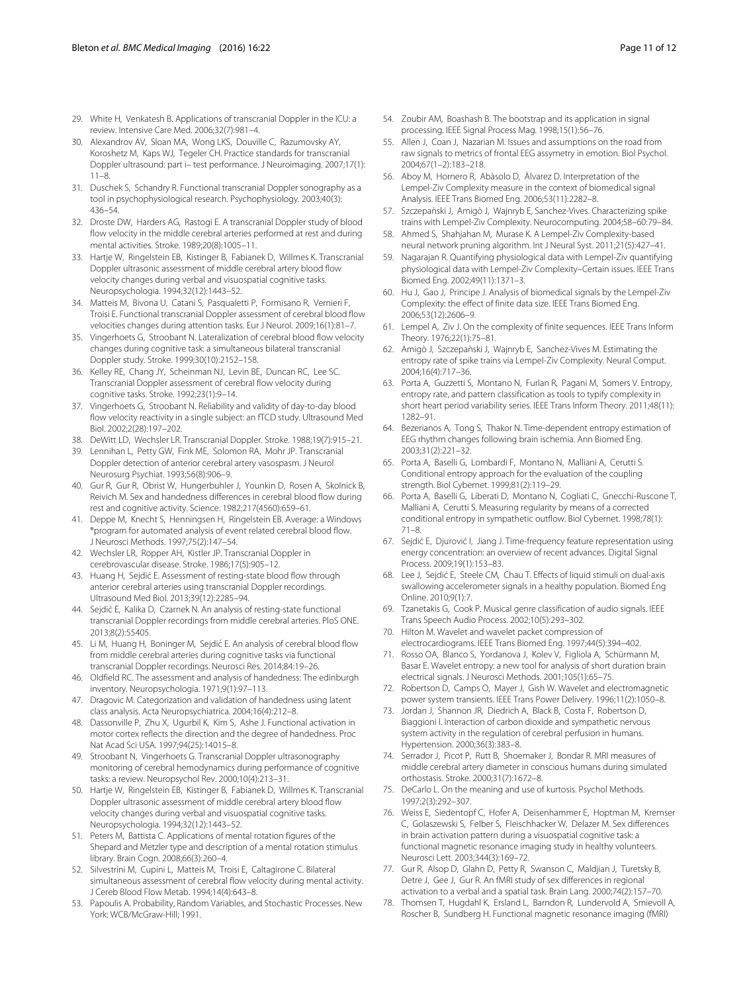- <span id="page-10-0"></span>29. White H, Venkatesh B. Applications of transcranial Doppler in the ICU: a review. Intensive Care Med. 2006;32(7):981–4.
- <span id="page-10-1"></span>30. Alexandrov AV, Sloan MA, Wong LKS, Douville C, Razumovsky AY, Koroshetz M, Kaps WJ, Tegeler CH. Practice standards for transcranial Doppler ultrasound: part i– test performance. J Neuroimaging. 2007;17(1):  $11 - 8$
- <span id="page-10-2"></span>31. Duschek S, Schandry R. Functional transcranial Doppler sonography as a tool in psychophysiological research. Psychophysiology. 2003;40(3): 436–54.
- <span id="page-10-3"></span>32. Droste DW, Harders AG, Rastogi E. A transcranial Doppler study of blood flow velocity in the middle cerebral arteries performed at rest and during mental activities. Stroke. 1989;20(8):1005–11.
- <span id="page-10-9"></span>33. Hartje W, Ringelstein EB, Kistinger B, Fabianek D, Willmes K. Transcranial Doppler ultrasonic assessment of middle cerebral artery blood flow velocity changes during verbal and visuospatial cognitive tasks. Neuropsychologia. 1994;32(12):1443–52.
- <span id="page-10-4"></span>34. Matteis M, Bivona U, Catani S, Pasqualetti P, Formisano R, Vernieri F, Troisi E. Functional transcranial Doppler assessment of cerebral blood flow velocities changes during attention tasks. Eur J Neurol. 2009;16(1):81–7.
- <span id="page-10-5"></span>35. Vingerhoets G, Stroobant N. Lateralization of cerebral blood flow velocity changes during cognitive task: a simultaneous bilateral transcranial Doppler study. Stroke. 1999;30(10):2152–158.
- 36. Kelley RE, Chang JY, Scheinman NJ, Levin BE, Duncan RC, Lee SC. Transcranial Doppler assessment of cerebral flow velocity during cognitive tasks. Stroke. 1992;23(1):9–14.
- <span id="page-10-6"></span>37. Vingerhoets G, Stroobant N. Reliability and validity of day-to-day blood flow velocity reactivity in a single subject: an fTCD study. Ultrasound Med Biol. 2002;2(28):197–202.
- <span id="page-10-7"></span>38. DeWitt LD, Wechsler LR. Transcranial Doppler. Stroke. 1988;19(7):915–21.
- <span id="page-10-8"></span>39. Lennihan L, Petty GW, Fink ME, Solomon RA, Mohr JP. Transcranial Doppler detection of anterior cerebral artery vasospasm. J Neurol Neurosurg Psychiat. 1993;56(8):906–9.
- <span id="page-10-10"></span>40. Gur R, Gur R, Obrist W, Hungerbuhler J, Younkin D, Rosen A, Skolnick B, Reivich M. Sex and handedness differences in cerebral blood flow during rest and cognitive activity. Science. 1982;217(4560):659–61.
- <span id="page-10-11"></span>41. Deppe M, Knecht S, Henningsen H, Ringelstein EB. Average: a Windows ®program for automated analysis of event related cerebral blood flow. J Neurosci Methods. 1997;75(2):147–54.
- <span id="page-10-12"></span>42. Wechsler LR, Ropper AH, Kistler JP. Transcranial Doppler in cerebrovascular disease. Stroke. 1986;17(5):905–12.
- <span id="page-10-13"></span>43. Huang H, Sejdić E. Assessment of resting-state blood flow through anterior cerebral arteries using transcranial Doppler recordings. Ultrasound Med Biol. 2013;39(12):2285–94.
- <span id="page-10-14"></span>44. Sejdić E, Kalika D, Czarnek N. An analysis of resting-state functional transcranial Doppler recordings from middle cerebral arteries. PloS ONE. 2013;8(2):55405.
- <span id="page-10-15"></span>45. Li M, Huang H, Boninger M, Sejdić E. An analysis of cerebral blood flow from middle cerebral arteries during cognitive tasks via functional transcranial Doppler recordings. Neurosci Res. 2014;84:19–26.
- <span id="page-10-16"></span>46. Oldfield RC. The assessment and analysis of handedness: The edinburgh inventory. Neuropsychologia. 1971;9(1):97–113.
- <span id="page-10-17"></span>47. Dragovic M. Categorization and validation of handedness using latent class analysis. Acta Neuropsychiatrica. 2004;16(4):212–8.
- <span id="page-10-18"></span>48. Dassonville P, Zhu X, Ugurbil K, Kim S, Ashe J. Functional activation in motor cortex reflects the direction and the degree of handedness. Proc Nat Acad Sci USA. 1997;94(25):14015–8.
- <span id="page-10-19"></span>49. Stroobant N, Vingerhoets G. Transcranial Doppler ultrasonography monitoring of cerebral hemodynamics during performance of cognitive tasks: a review. Neuropsychol Rev. 2000;10(4):213–31.
- <span id="page-10-20"></span>50. Hartje W, Ringelstein EB, Kistinger B, Fabianek D, Willmes K. Transcranial Doppler ultrasonic assessment of middle cerebral artery blood flow velocity changes during verbal and visuospatial cognitive tasks. Neuropsychologia. 1994;32(12):1443–52.
- <span id="page-10-21"></span>51. Peters M, Battista C. Applications of mental rotation figures of the Shepard and Metzler type and description of a mental rotation stimulus library. Brain Cogn. 2008;66(3):260–4.
- <span id="page-10-22"></span>52. Silvestrini M, Cupini L, Matteis M, Troisi E, Caltagirone C. Bilateral simultaneous assessment of cerebral flow velocity during mental activity. J Cereb Blood Flow Metab. 1994;14(4):643–8.
- <span id="page-10-23"></span>53. Papoulis A. Probability, Random Variables, and Stochastic Processes. New York: WCB/McGraw-Hill; 1991.
- <span id="page-10-24"></span>54. Zoubir AM, Boashash B. The bootstrap and its application in signal processing. IEEE Signal Process Mag. 1998;15(1):56–76.
- <span id="page-10-25"></span>55. Allen J, Coan J, Nazarian M. Issues and assumptions on the road from raw signals to metrics of frontal EEG assymetry in emotion. Biol Psychol. 2004;67(1–2):183–218.
- <span id="page-10-26"></span>56. Aboy M, Hornero R, Abàsolo D, Àlvarez D. Interpretation of the Lempel-Ziv Complexity measure in the context of biomedical signal Analysis. IEEE Trans Biomed Eng. 2006;53(11):2282–8.
- <span id="page-10-27"></span>57. Szczepański J, Amigò J, Wajnryb E, Sanchez-Vives. Characterizing spike trains with Lempel-Ziv Complexity. Neurocomputing. 2004;58–60:79–84.
- <span id="page-10-28"></span>58. Ahmed S, Shahjahan M, Murase K. A Lempel-Ziv Complexity-based neural network pruning algorithm. Int J Neural Syst. 2011;21(5):427–41.
- <span id="page-10-29"></span>59. Nagarajan R. Quantifying physiological data with Lempel-Ziv quantifying physiological data with Lempel-Ziv Complexity–Certain issues. IEEE Trans Biomed Eng. 2002;49(11):1371–3.
- <span id="page-10-30"></span>60. Hu J, Gao J, Principe J. Analysis of biomedical signals by the Lempel-Ziv Complexity: the effect of finite data size. IEEE Trans Biomed Eng. 2006;53(12):2606–9.
- <span id="page-10-31"></span>61. Lempel A, Ziv J. On the complexity of finite sequences. IEEE Trans Inform Theory. 1976;22(1):75–81.
- <span id="page-10-32"></span>62. Amigò J, Szczepanski J, Wajnryb E, Sanchez-Vives M. Estimating the entropy rate of spike trains via Lempel-Ziv Complexity. Neural Comput. 2004;16(4):717–36.
- <span id="page-10-33"></span>63. Porta A, Guzzetti S, Montano N, Furlan R, Pagani M, Somers V. Entropy, entropy rate, and pattern classification as tools to typify complexity in short heart period variability series. IEEE Trans Inform Theory. 2011;48(11): 1282–91.
- <span id="page-10-34"></span>64. Bezerianos A, Tong S, Thakor N. Time-dependent entropy estimation of EEG rhythm changes following brain ischemia. Ann Biomed Eng. 2003;31(2):221–32.
- <span id="page-10-35"></span>65. Porta A, Baselli G, Lombardi F, Montano N, Malliani A, Cerutti S. Conditional entropy approach for the evaluation of the coupling strength. Biol Cybernet. 1999;81(2):119–29.
- <span id="page-10-36"></span>66. Porta A, Baselli G, Liberati D, Montano N, Cogliati C, Gnecchi-Ruscone T, Malliani A, Cerutti S. Measuring regularity by means of a corrected conditional entropy in sympathetic outflow. Biol Cybernet. 1998;78(1): 71–8.
- <span id="page-10-37"></span>67. Sejdić E, Djurović I, Jiang J. Time-frequency feature representation using energy concentration: an overview of recent advances. Digital Signal Process. 2009;19(1):153–83.
- <span id="page-10-38"></span>68. Lee J, Sejdić E, Steele CM, Chau T. Effects of liquid stimuli on dual-axis swallowing accelerometer signals in a healthy population. Biomed Eng Online. 2010;9(1):7.
- <span id="page-10-39"></span>69. Tzanetakis G, Cook P. Musical genre classification of audio signals. IEEE Trans Speech Audio Process. 2002;10(5):293–302.
- <span id="page-10-40"></span>70. Hilton M. Wavelet and wavelet packet compression of electrocardiograms. IEEE Trans Biomed Eng. 1997;44(5):394–402.
- <span id="page-10-41"></span>71. Rosso OA, Blanco S, Yordanova J, Kolev V, Figliola A, Schürmann M, Basar E. Wavelet entropy: a new tool for analysis of short duration brain electrical signals. J Neurosci Methods. 2001;105(1):65–75.
- <span id="page-10-42"></span>72. Robertson D, Camps O, Mayer J, Gish W. Wavelet and electromagnetic power system transients. IEEE Trans Power Delivery. 1996;11(2):1050–8.
- <span id="page-10-43"></span>73. Jordan J, Shannon JR, Diedrich A, Black B, Costa F, Robertson D, Biaggioni I. Interaction of carbon dioxide and sympathetic nervous system activity in the regulation of cerebral perfusion in humans. Hypertension. 2000;36(3):383–8.
- <span id="page-10-44"></span>74. Serrador J, Picot P, Rutt B, Shoemaker J, Bondar R. MRI measures of middle cerebral artery diameter in conscious humans during simulated orthostasis. Stroke. 2000;31(7):1672–8.
- <span id="page-10-45"></span>75. DeCarlo L. On the meaning and use of kurtosis. Psychol Methods. 1997;2(3):292–307.
- <span id="page-10-46"></span>76. Weiss E, Siedentopf C, Hofer A, Deisenhammer E, Hoptman M, Kremser C, Golaszewski S, Felber S, Fleischhacker W, Delazer M. Sex differences in brain activation pattern during a visuospatial cognitive task: a functional magnetic resonance imaging study in healthy volunteers. Neurosci Lett. 2003;344(3):169–72.
- <span id="page-10-47"></span>77. Gur R, Alsop D, Glahn D, Petty R, Swanson C, Maldjian J, Turetsky B, Detre J, Gee J, Gur R. An fMRI study of sex differences in regional activation to a verbal and a spatial task. Brain Lang. 2000;74(2):157–70.
- <span id="page-10-48"></span>78. Thomsen T, Hugdahl K, Ersland L, Barndon R, Lundervold A, Smievoll A, Roscher B, Sundberg H. Functional magnetic resonance imaging (fMRI)